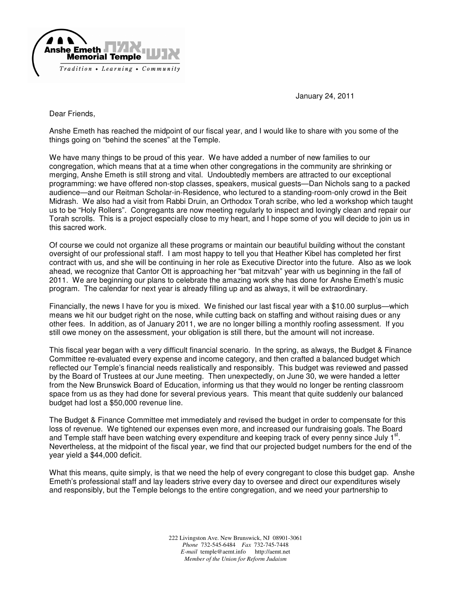

January 24, 2011

Dear Friends,

Anshe Emeth has reached the midpoint of our fiscal year, and I would like to share with you some of the things going on "behind the scenes" at the Temple.

We have many things to be proud of this year. We have added a number of new families to our congregation, which means that at a time when other congregations in the community are shrinking or merging, Anshe Emeth is still strong and vital. Undoubtedly members are attracted to our exceptional programming: we have offered non-stop classes, speakers, musical guests—Dan Nichols sang to a packed audience—and our Reitman Scholar-in-Residence, who lectured to a standing-room-only crowd in the Beit Midrash. We also had a visit from Rabbi Druin, an Orthodox Torah scribe, who led a workshop which taught us to be "Holy Rollers". Congregants are now meeting regularly to inspect and lovingly clean and repair our Torah scrolls. This is a project especially close to my heart, and I hope some of you will decide to join us in this sacred work.

Of course we could not organize all these programs or maintain our beautiful building without the constant oversight of our professional staff. I am most happy to tell you that Heather Kibel has completed her first contract with us, and she will be continuing in her role as Executive Director into the future. Also as we look ahead, we recognize that Cantor Ott is approaching her "bat mitzvah" year with us beginning in the fall of 2011. We are beginning our plans to celebrate the amazing work she has done for Anshe Emeth's music program. The calendar for next year is already filling up and as always, it will be extraordinary.

Financially, the news I have for you is mixed. We finished our last fiscal year with a \$10.00 surplus—which means we hit our budget right on the nose, while cutting back on staffing and without raising dues or any other fees. In addition, as of January 2011, we are no longer billing a monthly roofing assessment. If you still owe money on the assessment, your obligation is still there, but the amount will not increase.

This fiscal year began with a very difficult financial scenario. In the spring, as always, the Budget & Finance Committee re-evaluated every expense and income category, and then crafted a balanced budget which reflected our Temple's financial needs realistically and responsibly. This budget was reviewed and passed by the Board of Trustees at our June meeting. Then unexpectedly, on June 30, we were handed a letter from the New Brunswick Board of Education, informing us that they would no longer be renting classroom space from us as they had done for several previous years. This meant that quite suddenly our balanced budget had lost a \$50,000 revenue line.

The Budget & Finance Committee met immediately and revised the budget in order to compensate for this loss of revenue. We tightened our expenses even more, and increased our fundraising goals. The Board and Temple staff have been watching every expenditure and keeping track of every penny since July 1<sup>st</sup>. Nevertheless, at the midpoint of the fiscal year, we find that our projected budget numbers for the end of the year yield a \$44,000 deficit.

What this means, quite simply, is that we need the help of every congregant to close this budget gap. Anshe Emeth's professional staff and lay leaders strive every day to oversee and direct our expenditures wisely and responsibly, but the Temple belongs to the entire congregation, and we need your partnership to

> 222 Livingston Ave. New Brunswick, NJ 08901-3061 *Phone* 732-545-6484 *Fax* 732-745-7448 *E-mail* temple@aemt.info http://aemt.net *Member of the Union for Reform Judaism*